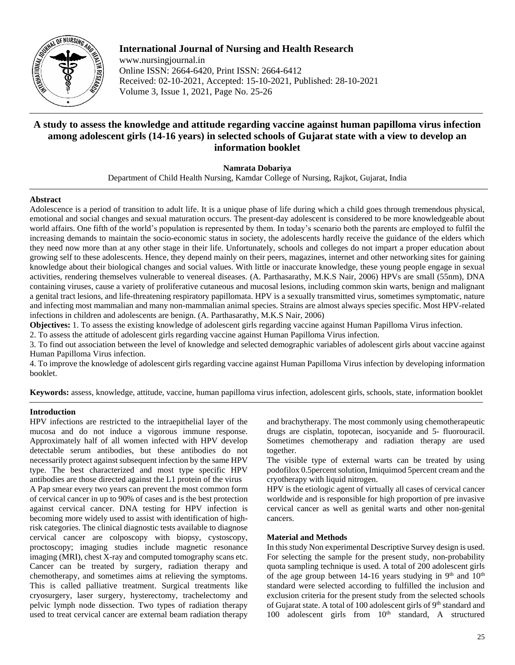

**International Journal of Nursing and Health Research** www.nursingjournal.in Online ISSN: 2664-6420, Print ISSN: 2664-6412 Received: 02-10-2021, Accepted: 15-10-2021, Published: 28-10-2021 Volume 3, Issue 1, 2021, Page No. 25-26

# **A study to assess the knowledge and attitude regarding vaccine against human papilloma virus infection among adolescent girls (14-16 years) in selected schools of Gujarat state with a view to develop an information booklet**

## **Namrata Dobariya**

Department of Child Health Nursing, Kamdar College of Nursing, Rajkot, Gujarat, India

## **Abstract**

Adolescence is a period of transition to adult life. It is a unique phase of life during which a child goes through tremendous physical, emotional and social changes and sexual maturation occurs. The present-day adolescent is considered to be more knowledgeable about world affairs. One fifth of the world's population is represented by them. In today's scenario both the parents are employed to fulfil the increasing demands to maintain the socio-economic status in society, the adolescents hardly receive the guidance of the elders which they need now more than at any other stage in their life. Unfortunately, schools and colleges do not impart a proper education about growing self to these adolescents. Hence, they depend mainly on their peers, magazines, internet and other networking sites for gaining knowledge about their biological changes and social values. With little or inaccurate knowledge, these young people engage in sexual activities, rendering themselves vulnerable to venereal diseases. (A. Parthasarathy, M.K.S Nair, 2006) HPVs are small (55nm), DNA containing viruses, cause a variety of proliferative cutaneous and mucosal lesions, including common skin warts, benign and malignant a genital tract lesions, and life-threatening respiratory papillomata. HPV is a sexually transmitted virus, sometimes symptomatic, nature and infecting most mammalian and many non-mammalian animal species. Strains are almost always species specific. Most HPV-related infections in children and adolescents are benign. (A. Parthasarathy, M.K.S Nair, 2006)

**Objectives:** 1. To assess the existing knowledge of adolescent girls regarding vaccine against Human Papilloma Virus infection.

2. To assess the attitude of adolescent girls regarding vaccine against Human Papilloma Virus infection.

3. To find out association between the level of knowledge and selected demographic variables of adolescent girls about vaccine against Human Papilloma Virus infection.

4. To improve the knowledge of adolescent girls regarding vaccine against Human Papilloma Virus infection by developing information booklet.

**Keywords:** assess, knowledge, attitude, vaccine, human papilloma virus infection, adolescent girls, schools, state, information booklet

## **Introduction**

HPV infections are restricted to the intraepithelial layer of the mucosa and do not induce a vigorous immune response. Approximately half of all women infected with HPV develop detectable serum antibodies, but these antibodies do not necessarily protect against subsequent infection by the same HPV type. The best characterized and most type specific HPV antibodies are those directed against the L1 protein of the virus A Pap smear every two years can prevent the most common form of cervical cancer in up to 90% of cases and is the best protection against cervical cancer. DNA testing for HPV infection is becoming more widely used to assist with identification of highrisk categories. The clinical diagnostic tests available to diagnose cervical cancer are colposcopy with biopsy, cystoscopy, proctoscopy; imaging studies include magnetic resonance imaging (MRI), chest X-ray and computed tomography scans etc. Cancer can be treated by surgery, radiation therapy and chemotherapy, and sometimes aims at relieving the symptoms. This is called palliative treatment. Surgical treatments like cryosurgery, laser surgery, hysterectomy, trachelectomy and pelvic lymph node dissection. Two types of radiation therapy used to treat cervical cancer are external beam radiation therapy

and brachytherapy. The most commonly using chemotherapeutic drugs are cisplatin, topotecan, isocyanide and 5- fluorouracil. Sometimes chemotherapy and radiation therapy are used together.

The visible type of external warts can be treated by using podofilox 0.5percent solution, Imiquimod 5percent cream and the cryotherapy with liquid nitrogen.

HPV is the etiologic agent of virtually all cases of cervical cancer worldwide and is responsible for high proportion of pre invasive cervical cancer as well as genital warts and other non-genital cancers.

## **Material and Methods**

In this study Non experimental Descriptive Survey design is used. For selecting the sample for the present study, non-probability quota sampling technique is used. A total of 200 adolescent girls of the age group between 14-16 years studying in  $9<sup>th</sup>$  and  $10<sup>th</sup>$ standard were selected according to fulfilled the inclusion and exclusion criteria for the present study from the selected schools of Gujarat state. A total of 100 adolescent girls of  $9<sup>th</sup>$  standard and 100 adolescent girls from 10<sup>th</sup> standard, A structured